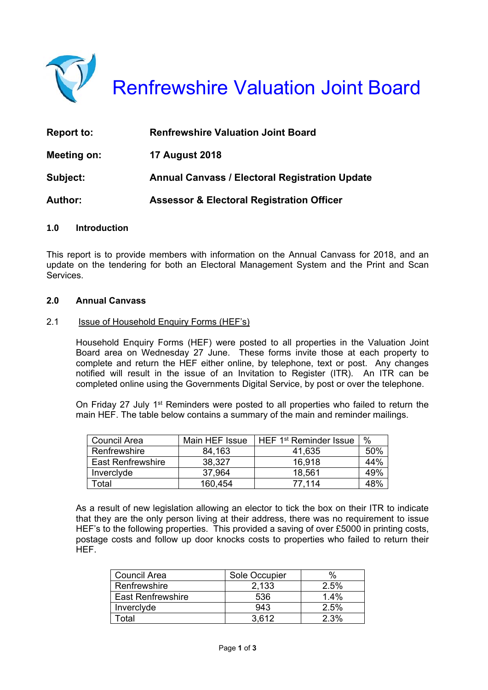

Renfrewshire Valuation Joint Board

| <b>Report to:</b> | <b>Renfrewshire Valuation Joint Board</b>             |  |
|-------------------|-------------------------------------------------------|--|
| Meeting on:       | <b>17 August 2018</b>                                 |  |
| Subject:          | <b>Annual Canvass / Electoral Registration Update</b> |  |
| <b>Author:</b>    | <b>Assessor &amp; Electoral Registration Officer</b>  |  |

#### **1.0 Introduction**

This report is to provide members with information on the Annual Canvass for 2018, and an update on the tendering for both an Electoral Management System and the Print and Scan **Services** 

# **2.0 Annual Canvass**

#### 2.1 Issue of Household Enquiry Forms (HEF's)

Household Enquiry Forms (HEF) were posted to all properties in the Valuation Joint Board area on Wednesday 27 June. These forms invite those at each property to complete and return the HEF either online, by telephone, text or post. Any changes notified will result in the issue of an Invitation to Register (ITR). An ITR can be completed online using the Governments Digital Service, by post or over the telephone.

On Friday 27 July 1<sup>st</sup> Reminders were posted to all properties who failed to return the main HEF. The table below contains a summary of the main and reminder mailings.

| Council Area             | Main HEF Issue | HEF 1 <sup>st</sup> Reminder Issue | %   |
|--------------------------|----------------|------------------------------------|-----|
| Renfrewshire             | 84,163         | 41.635                             | 50% |
| <b>East Renfrewshire</b> | 38,327         | 16.918                             | 44% |
| Inverclyde               | 37,964         | 18,561                             | 49% |
| Гоtal                    | 160,454        | 77.114                             | 48% |

As a result of new legislation allowing an elector to tick the box on their ITR to indicate that they are the only person living at their address, there was no requirement to issue HEF's to the following properties. This provided a saving of over £5000 in printing costs, postage costs and follow up door knocks costs to properties who failed to return their HEF.

| <b>Council Area</b>      | Sole Occupier | $\%$ |
|--------------------------|---------------|------|
| Renfrewshire             | 2.133         | 2.5% |
| <b>East Renfrewshire</b> | 536           | 1.4% |
| Inverclyde               | 943           | 2.5% |
| otal.                    | 3.612         | 2.3% |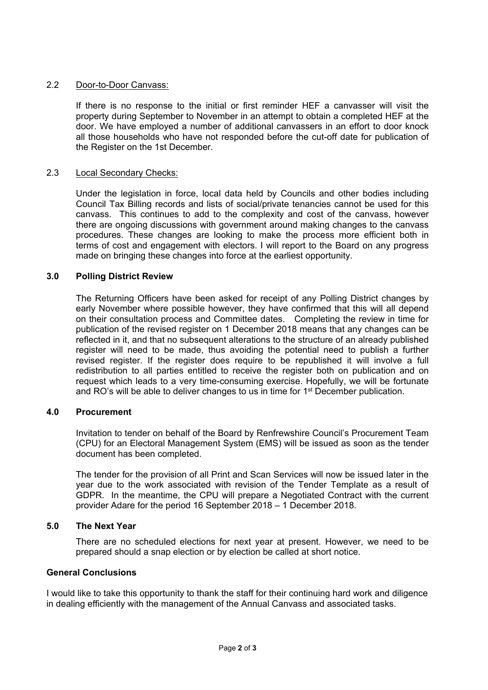## 2.2 Door-to-Door Canvass:

If there is no response to the initial or first reminder HEF a canvasser will visit the property during September to November in an attempt to obtain a completed HEF at the door. We have employed a number of additional canvassers in an effort to door knock all those households who have not responded before the cut-off date for publication of the Register on the 1st December.

## 2.3 Local Secondary Checks:

Under the legislation in force, local data held by Councils and other bodies including Council Tax Billing records and lists of social/private tenancies cannot be used for this canvass. This continues to add to the complexity and cost of the canvass, however there are ongoing discussions with government around making changes to the canvass procedures. These changes are looking to make the process more efficient both in terms of cost and engagement with electors. I will report to the Board on any progress made on bringing these changes into force at the earliest opportunity.

## **3.0 Polling District Review**

The Returning Officers have been asked for receipt of any Polling District changes by early November where possible however, they have confirmed that this will all depend on their consultation process and Committee dates. Completing the review in time for publication of the revised register on 1 December 2018 means that any changes can be reflected in it, and that no subsequent alterations to the structure of an already published register will need to be made, thus avoiding the potential need to publish a further revised register. If the register does require to be republished it will involve a full redistribution to all parties entitled to receive the register both on publication and on request which leads to a very time-consuming exercise. Hopefully, we will be fortunate and RO's will be able to deliver changes to us in time for 1<sup>st</sup> December publication.

## **4.0 Procurement**

Invitation to tender on behalf of the Board by Renfrewshire Council's Procurement Team (CPU) for an Electoral Management System (EMS) will be issued as soon as the tender document has been completed.

The tender for the provision of all Print and Scan Services will now be issued later in the year due to the work associated with revision of the Tender Template as a result of GDPR. In the meantime, the CPU will prepare a Negotiated Contract with the current provider Adare for the period 16 September 2018 – 1 December 2018.

## **5.0 The Next Year**

There are no scheduled elections for next year at present. However, we need to be prepared should a snap election or by election be called at short notice.

## **General Conclusions**

I would like to take this opportunity to thank the staff for their continuing hard work and diligence in dealing efficiently with the management of the Annual Canvass and associated tasks.